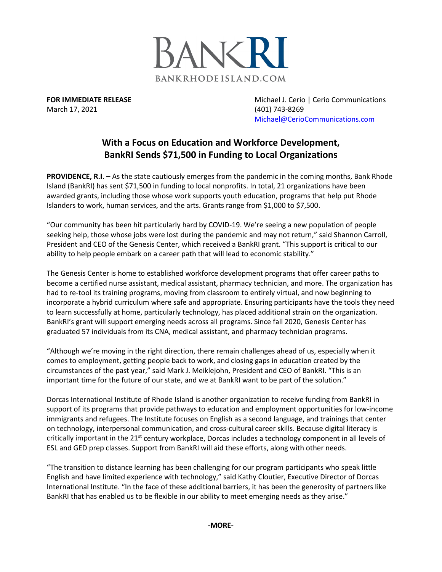

March 17, 2021 (401) 743-8269

**FOR IMMEDIATE RELEASE Michael J. Cerio | Cerio Communications** [Michael@CerioCommunications.com](mailto:Michael@CerioCommunications.com)

## **With a Focus on Education and Workforce Development, BankRI Sends \$71,500 in Funding to Local Organizations**

**PROVIDENCE, R.I. –** As the state cautiously emerges from the pandemic in the coming months, Bank Rhode Island (BankRI) has sent \$71,500 in funding to local nonprofits. In total, 21 organizations have been awarded grants, including those whose work supports youth education, programs that help put Rhode Islanders to work, human services, and the arts. Grants range from \$1,000 to \$7,500.

"Our community has been hit particularly hard by COVID-19. We're seeing a new population of people seeking help, those whose jobs were lost during the pandemic and may not return," said Shannon Carroll, President and CEO of the Genesis Center, which received a BankRI grant. "This support is critical to our ability to help people embark on a career path that will lead to economic stability."

The Genesis Center is home to established workforce development programs that offer career paths to become a certified nurse assistant, medical assistant, pharmacy technician, and more. The organization has had to re-tool its training programs, moving from classroom to entirely virtual, and now beginning to incorporate a hybrid curriculum where safe and appropriate. Ensuring participants have the tools they need to learn successfully at home, particularly technology, has placed additional strain on the organization. BankRI's grant will support emerging needs across all programs. Since fall 2020, Genesis Center has graduated 57 individuals from its CNA, medical assistant, and pharmacy technician programs.

"Although we're moving in the right direction, there remain challenges ahead of us, especially when it comes to employment, getting people back to work, and closing gaps in education created by the circumstances of the past year," said Mark J. Meiklejohn, President and CEO of BankRI. "This is an important time for the future of our state, and we at BankRI want to be part of the solution."

Dorcas International Institute of Rhode Island is another organization to receive funding from BankRI in support of its programs that provide pathways to education and employment opportunities for low-income immigrants and refugees. The Institute focuses on English as a second language, and trainings that center on technology, interpersonal communication, and cross-cultural career skills. Because digital literacy is critically important in the  $21<sup>st</sup>$  century workplace, Dorcas includes a technology component in all levels of ESL and GED prep classes. Support from BankRI will aid these efforts, along with other needs.

"The transition to distance learning has been challenging for our program participants who speak little English and have limited experience with technology," said Kathy Cloutier, Executive Director of Dorcas International Institute. "In the face of these additional barriers, it has been the generosity of partners like BankRI that has enabled us to be flexible in our ability to meet emerging needs as they arise."